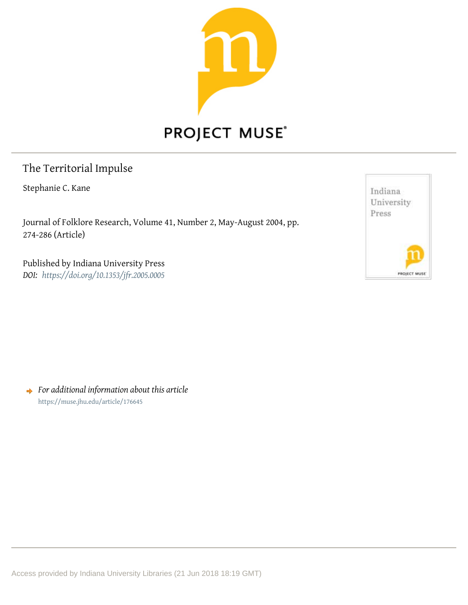

# The Territorial Impulse

Stephanie C. Kane

Journal of Folklore Research, Volume 41, Number 2, May-August 2004, pp. 274-286 (Article)

Published by Indiana University Press *DOI: <https://doi.org/10.1353/jfr.2005.0005>*



*For additional information about this article* <https://muse.jhu.edu/article/176645>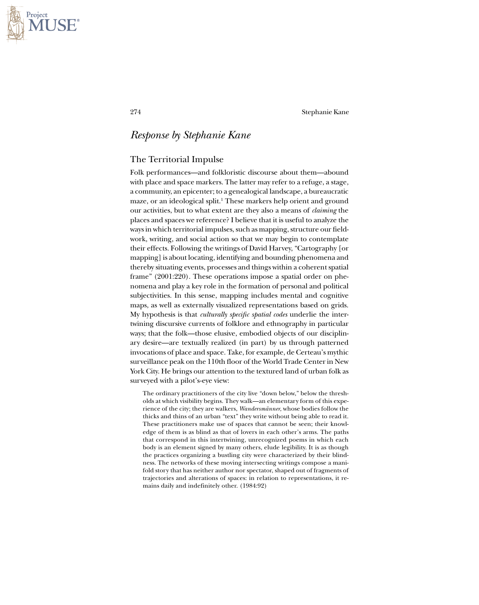

274 Stephanie Kane

## *Response by Stephanie Kane*

## The Territorial Impulse

Folk performances—and folkloristic discourse about them—abound with place and space markers. The latter may refer to a refuge, a stage, a community, an epicenter; to a genealogical landscape, a bureaucratic maze, or an ideological split.<sup>1</sup> These markers help orient and ground our activities, but to what extent are they also a means of *claiming* the places and spaces we reference? I believe that it is useful to analyze the ways in which territorial impulses, such as mapping, structure our fieldwork, writing, and social action so that we may begin to contemplate their effects. Following the writings of David Harvey, "Cartography [or mapping] is about locating, identifying and bounding phenomena and thereby situating events, processes and things within a coherent spatial frame" (2001:220). These operations impose a spatial order on phenomena and play a key role in the formation of personal and political subjectivities. In this sense, mapping includes mental and cognitive maps, as well as externally visualized representations based on grids. My hypothesis is that *culturally specific spatial codes* underlie the intertwining discursive currents of folklore and ethnography in particular ways; that the folk—those elusive, embodied objects of our disciplinary desire—are textually realized (in part) by us through patterned invocations of place and space. Take, for example, de Certeau's mythic surveillance peak on the 110th floor of the World Trade Center in New York City. He brings our attention to the textured land of urban folk as surveyed with a pilot's-eye view:

The ordinary practitioners of the city live "down below," below the thresholds at which visibility begins. They walk—an elementary form of this experience of the city; they are walkers, *Wandersmänner*, whose bodies follow the thicks and thins of an urban "text" they write without being able to read it. These practitioners make use of spaces that cannot be seen; their knowledge of them is as blind as that of lovers in each other's arms. The paths that correspond in this intertwining, unrecognized poems in which each body is an element signed by many others, elude legibility. It is as though the practices organizing a bustling city were characterized by their blindness. The networks of these moving intersecting writings compose a manifold story that has neither author nor spectator, shaped out of fragments of trajectories and alterations of spaces: in relation to representations, it remains daily and indefinitely other. (1984:92)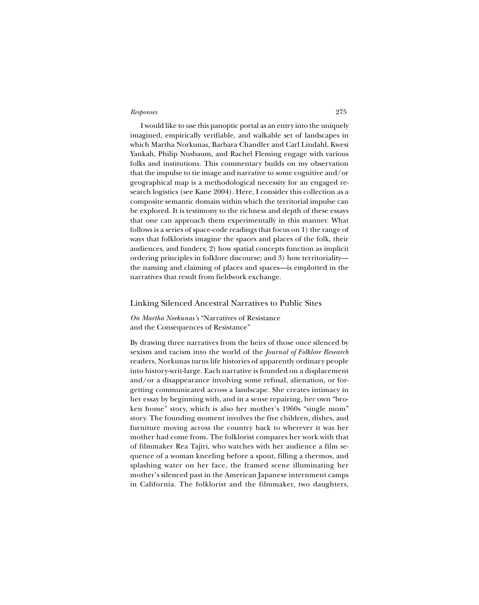I would like to use this panoptic portal as an entry into the uniquely imagined, empirically verifiable, and walkable set of landscapes in which Martha Norkunas, Barbara Chandler and Carl Lindahl, Kwesi Yankah, Philip Nusbaum, and Rachel Fleming engage with various folks and institutions. This commentary builds on my observation that the impulse to tie image and narrative to some cognitive and/or geographical map is a methodological necessity for an engaged research logistics (see Kane 2004). Here, I consider this collection as a composite semantic domain within which the territorial impulse can be explored. It is testimony to the richness and depth of these essays that one can approach them experimentally in this manner. What follows is a series of space-code readings that focus on 1) the range of ways that folklorists imagine the spaces and places of the folk, their audiences, and funders; 2) how spatial concepts function as implicit ordering principles in folklore discourse; and 3) how territoriality the naming and claiming of places and spaces—is emplotted in the narratives that result from fieldwork exchange.

#### Linking Silenced Ancestral Narratives to Public Sites

*On Martha Norkunas's* "Narratives of Resistance and the Consequences of Resistance"

By drawing three narratives from the heirs of those once silenced by sexism and racism into the world of the *Journal of Folklore Research* readers, Norkunas turns life histories of apparently ordinary people into history-writ-large. Each narrative is founded on a displacement and/or a disappearance involving some refusal, alienation, or forgetting communicated across a landscape. She creates intimacy in her essay by beginning with, and in a sense repairing, her own "broken home" story, which is also her mother's 1960s "single mom" story. The founding moment involves the five children, dishes, and furniture moving across the country back to wherever it was her mother had come from. The folklorist compares her work with that of filmmaker Rea Tajiri, who watches with her audience a film sequence of a woman kneeling before a spout, filling a thermos, and splashing water on her face, the framed scene illuminating her mother's silenced past in the American Japanese internment camps in California. The folklorist and the filmmaker, two daughters,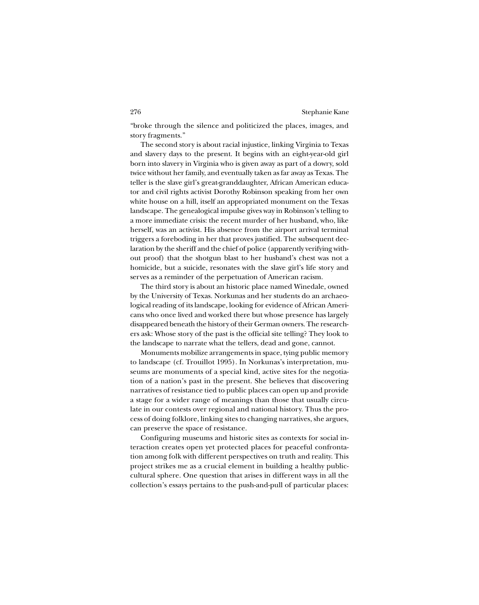"broke through the silence and politicized the places, images, and story fragments."

The second story is about racial injustice, linking Virginia to Texas and slavery days to the present. It begins with an eight-year-old girl born into slavery in Virginia who is given away as part of a dowry, sold twice without her family, and eventually taken as far away as Texas. The teller is the slave girl's great-granddaughter, African American educator and civil rights activist Dorothy Robinson speaking from her own white house on a hill, itself an appropriated monument on the Texas landscape. The genealogical impulse gives way in Robinson's telling to a more immediate crisis: the recent murder of her husband, who, like herself, was an activist. His absence from the airport arrival terminal triggers a foreboding in her that proves justified. The subsequent declaration by the sheriff and the chief of police (apparently verifying without proof) that the shotgun blast to her husband's chest was not a homicide, but a suicide, resonates with the slave girl's life story and serves as a reminder of the perpetuation of American racism.

The third story is about an historic place named Winedale, owned by the University of Texas. Norkunas and her students do an archaeological reading of its landscape, looking for evidence of African Americans who once lived and worked there but whose presence has largely disappeared beneath the history of their German owners. The researchers ask: Whose story of the past is the official site telling? They look to the landscape to narrate what the tellers, dead and gone, cannot.

Monuments mobilize arrangements in space, tying public memory to landscape (cf. Trouillot 1995). In Norkunas's interpretation, museums are monuments of a special kind, active sites for the negotiation of a nation's past in the present. She believes that discovering narratives of resistance tied to public places can open up and provide a stage for a wider range of meanings than those that usually circulate in our contests over regional and national history. Thus the process of doing folklore, linking sites to changing narratives, she argues, can preserve the space of resistance.

Configuring museums and historic sites as contexts for social interaction creates open yet protected places for peaceful confrontation among folk with different perspectives on truth and reality. This project strikes me as a crucial element in building a healthy publiccultural sphere. One question that arises in different ways in all the collection's essays pertains to the push-and-pull of particular places: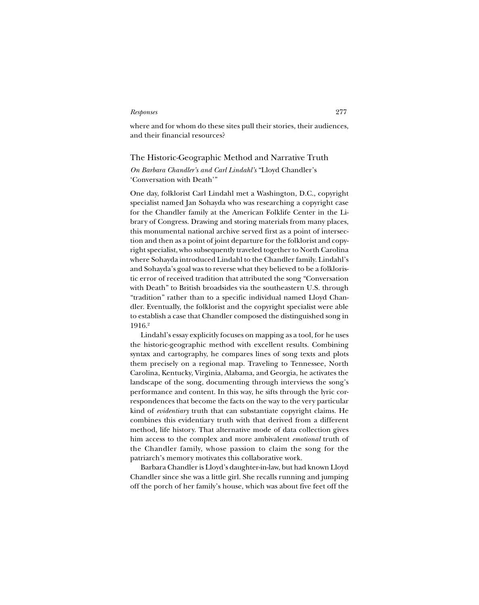where and for whom do these sites pull their stories, their audiences, and their financial resources?

#### The Historic-Geographic Method and Narrative Truth

*On Barbara Chandler's and Carl Lindahl's* "Lloyd Chandler's 'Conversation with Death'"

One day, folklorist Carl Lindahl met a Washington, D.C., copyright specialist named Jan Sohayda who was researching a copyright case for the Chandler family at the American Folklife Center in the Library of Congress. Drawing and storing materials from many places, this monumental national archive served first as a point of intersection and then as a point of joint departure for the folklorist and copyright specialist, who subsequently traveled together to North Carolina where Sohayda introduced Lindahl to the Chandler family. Lindahl's and Sohayda's goal was to reverse what they believed to be a folkloristic error of received tradition that attributed the song "Conversation with Death" to British broadsides via the southeastern U.S. through "tradition" rather than to a specific individual named Lloyd Chandler. Eventually, the folklorist and the copyright specialist were able to establish a case that Chandler composed the distinguished song in 1916.2

Lindahl's essay explicitly focuses on mapping as a tool, for he uses the historic-geographic method with excellent results. Combining syntax and cartography, he compares lines of song texts and plots them precisely on a regional map. Traveling to Tennessee, North Carolina, Kentucky, Virginia, Alabama, and Georgia, he activates the landscape of the song, documenting through interviews the song's performance and content. In this way, he sifts through the lyric correspondences that become the facts on the way to the very particular kind of *evidentiary* truth that can substantiate copyright claims. He combines this evidentiary truth with that derived from a different method, life history. That alternative mode of data collection gives him access to the complex and more ambivalent *emotional* truth of the Chandler family, whose passion to claim the song for the patriarch's memory motivates this collaborative work.

Barbara Chandler is Lloyd's daughter-in-law, but had known Lloyd Chandler since she was a little girl. She recalls running and jumping off the porch of her family's house, which was about five feet off the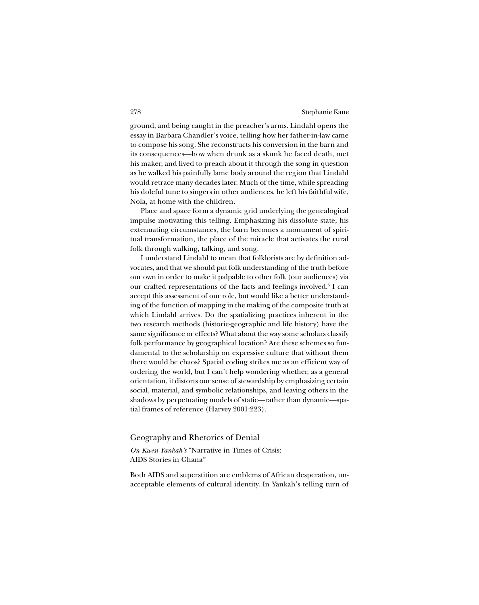ground, and being caught in the preacher's arms. Lindahl opens the essay in Barbara Chandler's voice, telling how her father-in-law came to compose his song. She reconstructs his conversion in the barn and its consequences—how when drunk as a skunk he faced death, met his maker, and lived to preach about it through the song in question as he walked his painfully lame body around the region that Lindahl would retrace many decades later. Much of the time, while spreading his doleful tune to singers in other audiences, he left his faithful wife, Nola, at home with the children.

Place and space form a dynamic grid underlying the genealogical impulse motivating this telling. Emphasizing his dissolute state, his extenuating circumstances, the barn becomes a monument of spiritual transformation, the place of the miracle that activates the rural folk through walking, talking, and song.

I understand Lindahl to mean that folklorists are by definition advocates, and that we should put folk understanding of the truth before our own in order to make it palpable to other folk (our audiences) via our crafted representations of the facts and feelings involved.<sup>3</sup> I can accept this assessment of our role, but would like a better understanding of the function of mapping in the making of the composite truth at which Lindahl arrives. Do the spatializing practices inherent in the two research methods (historic-geographic and life history) have the same significance or effects? What about the way some scholars classify folk performance by geographical location? Are these schemes so fundamental to the scholarship on expressive culture that without them there would be chaos? Spatial coding strikes me as an efficient way of ordering the world, but I can't help wondering whether, as a general orientation, it distorts our sense of stewardship by emphasizing certain social, material, and symbolic relationships, and leaving others in the shadows by perpetuating models of static—rather than dynamic—spatial frames of reference (Harvey 2001:223).

### Geography and Rhetorics of Denial

*On Kwesi Yankah's* "Narrative in Times of Crisis: AIDS Stories in Ghana"

Both AIDS and superstition are emblems of African desperation, unacceptable elements of cultural identity. In Yankah's telling turn of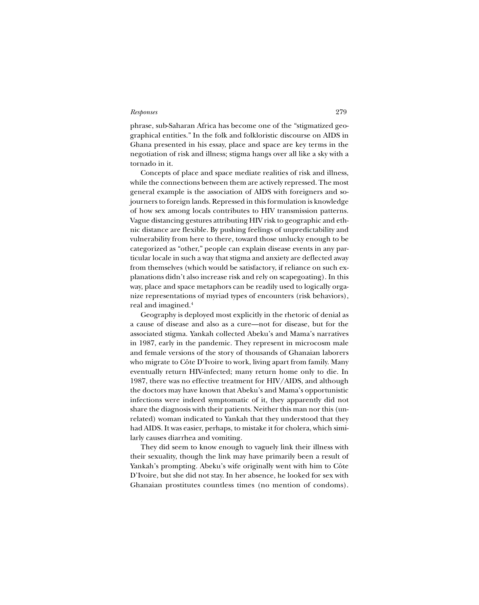phrase, sub-Saharan Africa has become one of the "stigmatized geographical entities." In the folk and folkloristic discourse on AIDS in Ghana presented in his essay, place and space are key terms in the negotiation of risk and illness; stigma hangs over all like a sky with a tornado in it.

Concepts of place and space mediate realities of risk and illness, while the connections between them are actively repressed. The most general example is the association of AIDS with foreigners and sojourners to foreign lands. Repressed in this formulation is knowledge of how sex among locals contributes to HIV transmission patterns. Vague distancing gestures attributing HIV risk to geographic and ethnic distance are flexible. By pushing feelings of unpredictability and vulnerability from here to there, toward those unlucky enough to be categorized as "other," people can explain disease events in any particular locale in such a way that stigma and anxiety are deflected away from themselves (which would be satisfactory, if reliance on such explanations didn't also increase risk and rely on scapegoating). In this way, place and space metaphors can be readily used to logically organize representations of myriad types of encounters (risk behaviors), real and imagined.4

Geography is deployed most explicitly in the rhetoric of denial as a cause of disease and also as a cure—not for disease, but for the associated stigma. Yankah collected Abeku's and Mama's narratives in 1987, early in the pandemic. They represent in microcosm male and female versions of the story of thousands of Ghanaian laborers who migrate to Côte D'Ivoire to work, living apart from family. Many eventually return HIV-infected; many return home only to die. In 1987, there was no effective treatment for HIV/AIDS, and although the doctors may have known that Abeku's and Mama's opportunistic infections were indeed symptomatic of it, they apparently did not share the diagnosis with their patients. Neither this man nor this (unrelated) woman indicated to Yankah that they understood that they had AIDS. It was easier, perhaps, to mistake it for cholera, which similarly causes diarrhea and vomiting.

They did seem to know enough to vaguely link their illness with their sexuality, though the link may have primarily been a result of Yankah's prompting. Abeku's wife originally went with him to Côte D'Ivoire, but she did not stay. In her absence, he looked for sex with Ghanaian prostitutes countless times (no mention of condoms).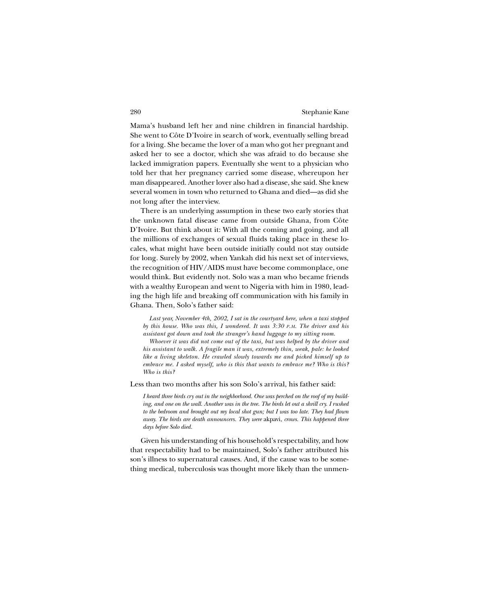Mama's husband left her and nine children in financial hardship. She went to Côte D'Ivoire in search of work, eventually selling bread for a living. She became the lover of a man who got her pregnant and asked her to see a doctor, which she was afraid to do because she lacked immigration papers. Eventually she went to a physician who told her that her pregnancy carried some disease, whereupon her man disappeared. Another lover also had a disease, she said. She knew several women in town who returned to Ghana and died—as did she not long after the interview.

There is an underlying assumption in these two early stories that the unknown fatal disease came from outside Ghana, from Côte D'Ivoire. But think about it: With all the coming and going, and all the millions of exchanges of sexual fluids taking place in these locales, what might have been outside initially could not stay outside for long. Surely by 2002, when Yankah did his next set of interviews, the recognition of HIV/AIDS must have become commonplace, one would think. But evidently not. Solo was a man who became friends with a wealthy European and went to Nigeria with him in 1980, leading the high life and breaking off communication with his family in Ghana. Then, Solo's father said:

*Last year, November 4th, 2002, I sat in the courtyard here, when a taxi stopped by this house. Who was this, I wondered. It was 3:30 P.M. The driver and his assistant got down and took the stranger's hand luggage to my sitting room.*

*Whoever it was did not come out of the taxi, but was helped by the driver and his assistant to walk. A fragile man it was, extremely thin, weak, pale: he looked like a living skeleton. He crawled slowly towards me and picked himself up to embrace me. I asked myself, who is this that wants to embrace me? Who is this? Who is this?*

Less than two months after his son Solo's arrival, his father said:

*I heard three birds cry out in the neighborhood. One was perched on the roof of my building, and one on the wall. Another was in the tree. The birds let out a shrill cry. I rushed to the bedroom and brought out my local shot gun; but I was too late. They had flown away. The birds are death announcers. They were* akpavi, *crows. This happened three days before Solo died.*

Given his understanding of his household's respectability, and how that respectability had to be maintained, Solo's father attributed his son's illness to supernatural causes. And, if the cause was to be something medical, tuberculosis was thought more likely than the unmen-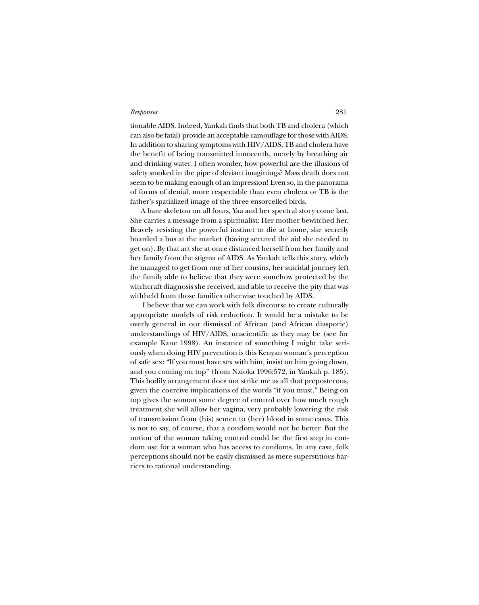tionable AIDS. Indeed, Yankah finds that both TB and cholera (which can also be fatal) provide an acceptable camouflage for those with AIDS. In addition to sharing symptoms with HIV/AIDS, TB and cholera have the benefit of being transmitted innocently, merely by breathing air and drinking water. I often wonder, how powerful are the illusions of safety smoked in the pipe of deviant imaginings? Mass death does not seem to be making enough of an impression! Even so, in the panorama of forms of denial, more respectable than even cholera or TB is the father's spatialized image of the three ensorcelled birds.

A bare skeleton on all fours, Yaa and her spectral story come last. She carries a message from a spiritualist: Her mother bewitched her. Bravely resisting the powerful instinct to die at home, she secretly boarded a bus at the market (having secured the aid she needed to get on). By that act she at once distanced herself from her family and her family from the stigma of AIDS. As Yankah tells this story, which he managed to get from one of her cousins, her suicidal journey left the family able to believe that they were somehow protected by the witchcraft diagnosis she received, and able to receive the pity that was withheld from those families otherwise touched by AIDS.

 I believe that we can work with folk discourse to create culturally appropriate models of risk reduction. It would be a mistake to be overly general in our dismissal of African (and African diasporic) understandings of HIV/AIDS, unscientific as they may be (see for example Kane 1998). An instance of something I might take seriously when doing HIV prevention is this Kenyan woman's perception of safe sex: "If you must have sex with him, insist on him going down, and you coming on top" (from Nzioka 1996:572, in Yankah p. 185). This bodily arrangement does not strike me as all that preposterous, given the coercive implications of the words "if you must." Being on top gives the woman some degree of control over how much rough treatment she will allow her vagina, very probably lowering the risk of transmission from (his) semen to (her) blood in some cases. This is not to say, of course, that a condom would not be better. But the notion of the woman taking control could be the first step in condom use for a woman who has access to condoms. In any case, folk perceptions should not be easily dismissed as mere superstitious barriers to rational understanding.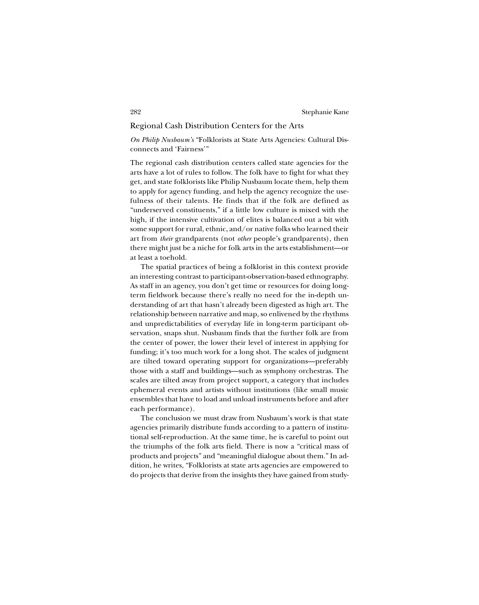#### Regional Cash Distribution Centers for the Arts

*On Philip Nusbaum's* "Folklorists at State Arts Agencies: Cultural Disconnects and 'Fairness'"

The regional cash distribution centers called state agencies for the arts have a lot of rules to follow. The folk have to fight for what they get, and state folklorists like Philip Nusbaum locate them, help them to apply for agency funding, and help the agency recognize the usefulness of their talents. He finds that if the folk are defined as "underserved constituents," if a little low culture is mixed with the high, if the intensive cultivation of elites is balanced out a bit with some support for rural, ethnic, and/or native folks who learned their art from *their* grandparents (not *other* people's grandparents), then there might just be a niche for folk arts in the arts establishment—or at least a toehold.

The spatial practices of being a folklorist in this context provide an interesting contrast to participant-observation-based ethnography. As staff in an agency, you don't get time or resources for doing longterm fieldwork because there's really no need for the in-depth understanding of art that hasn't already been digested as high art. The relationship between narrative and map, so enlivened by the rhythms and unpredictabilities of everyday life in long-term participant observation, snaps shut. Nusbaum finds that the further folk are from the center of power, the lower their level of interest in applying for funding; it's too much work for a long shot. The scales of judgment are tilted toward operating support for organizations—preferably those with a staff and buildings—such as symphony orchestras. The scales are tilted away from project support, a category that includes ephemeral events and artists without institutions (like small music ensembles that have to load and unload instruments before and after each performance).

The conclusion we must draw from Nusbaum's work is that state agencies primarily distribute funds according to a pattern of institutional self-reproduction. At the same time, he is careful to point out the triumphs of the folk arts field. There is now a "critical mass of products and projects" and "meaningful dialogue about them." In addition, he writes, "Folklorists at state arts agencies are empowered to do projects that derive from the insights they have gained from study-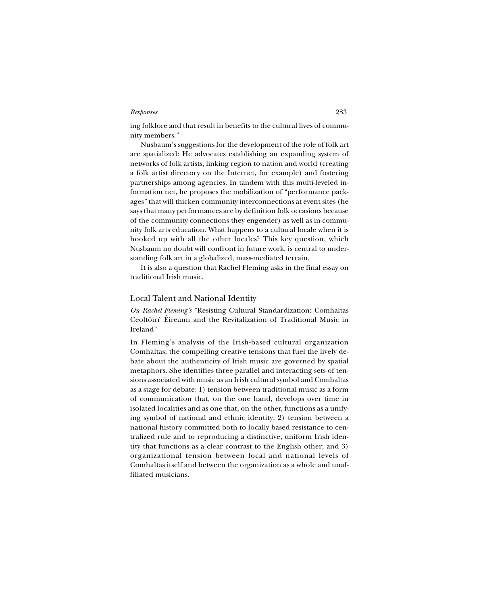ing folklore and that result in benefits to the cultural lives of community members."

Nusbaum's suggestions for the development of the role of folk art are spatialized: He advocates establishing an expanding system of networks of folk artists, linking region to nation and world (creating a folk artist directory on the Internet, for example) and fostering partnerships among agencies. In tandem with this multi-leveled information net, he proposes the mobilization of "performance packages" that will thicken community interconnections at event sites (he says that many performances are by definition folk occasions because of the community connections they engender) as well as in-community folk arts education. What happens to a cultural locale when it is hooked up with all the other locales? This key question, which Nusbaum no doubt will confront in future work, is central to understanding folk art in a globalized, mass-mediated terrain.

It is also a question that Rachel Fleming asks in the final essay on traditional Irish music.

#### Local Talent and National Identity

*On Rachel Fleming's* "Resisting Cultural Standardization: Comhaltas Ceoltóirı´ Éireann and the Revitalization of Traditional Music in Ireland"

In Fleming's analysis of the Irish-based cultural organization Comhaltas, the compelling creative tensions that fuel the lively debate about the authenticity of Irish music are governed by spatial metaphors. She identifies three parallel and interacting sets of tensions associated with music as an Irish cultural symbol and Comhaltas as a stage for debate: 1) tension between traditional music as a form of communication that, on the one hand, develops over time in isolated localities and as one that, on the other, functions as a unifying symbol of national and ethnic identity; 2) tension between a national history committed both to locally based resistance to centralized rule and to reproducing a distinctive, uniform Irish identity that functions as a clear contrast to the English other; and 3) organizational tension between local and national levels of Comhaltas itself and between the organization as a whole and unaffiliated musicians.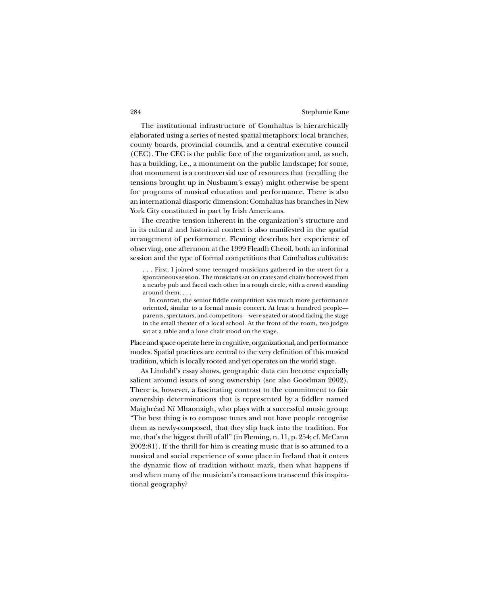#### 284 Stephanie Kane

The institutional infrastructure of Comhaltas is hierarchically elaborated using a series of nested spatial metaphors: local branches, county boards, provincial councils, and a central executive council (CEC). The CEC is the public face of the organization and, as such, has a building, i.e., a monument on the public landscape; for some, that monument is a controversial use of resources that (recalling the tensions brought up in Nusbaum's essay) might otherwise be spent for programs of musical education and performance. There is also an international diasporic dimension: Comhaltas has branches in New York City constituted in part by Irish Americans.

The creative tension inherent in the organization's structure and in its cultural and historical context is also manifested in the spatial arrangement of performance. Fleming describes her experience of observing, one afternoon at the 1999 Fleadh Cheoil, both an informal session and the type of formal competitions that Comhaltas cultivates:

. . . First, I joined some teenaged musicians gathered in the street for a spontaneous session. The musicians sat on crates and chairs borrowed from a nearby pub and faced each other in a rough circle, with a crowd standing around them. . . .

In contrast, the senior fiddle competition was much more performance oriented, similar to a formal music concert. At least a hundred people parents, spectators, and competitors—were seated or stood facing the stage in the small theater of a local school. At the front of the room, two judges sat at a table and a lone chair stood on the stage.

Place and space operate here in cognitive, organizational, and performance modes. Spatial practices are central to the very definition of this musical tradition, which is locally rooted and yet operates on the world stage.

As Lindahl's essay shows, geographic data can become especially salient around issues of song ownership (see also Goodman 2002). There is, however, a fascinating contrast to the commitment to fair ownership determinations that is represented by a fiddler named Maighréad Ní Mhaonaigh, who plays with a successful music group: "The best thing is to compose tunes and not have people recognise them as newly-composed, that they slip back into the tradition. For me, that's the biggest thrill of all" (in Fleming, n. 11, p. 254; cf. McCann 2002:81). If the thrill for him is creating music that is so attuned to a musical and social experience of some place in Ireland that it enters the dynamic flow of tradition without mark, then what happens if and when many of the musician's transactions transcend this inspirational geography?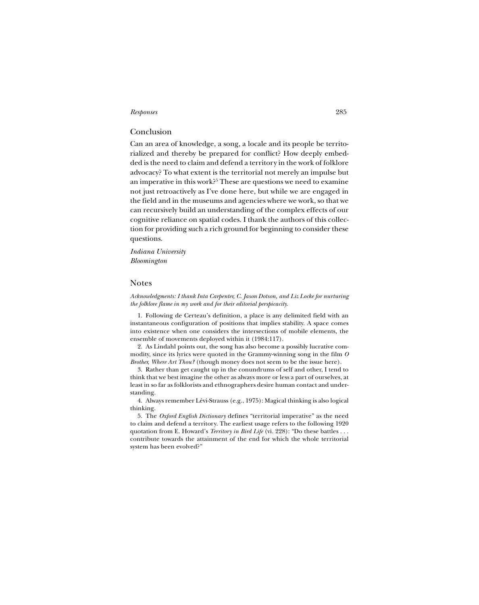#### Conclusion

Can an area of knowledge, a song, a locale and its people be territorialized and thereby be prepared for conflict? How deeply embedded is the need to claim and defend a territory in the work of folklore advocacy? To what extent is the territorial not merely an impulse but an imperative in this work? $5$  These are questions we need to examine not just retroactively as I've done here, but while we are engaged in the field and in the museums and agencies where we work, so that we can recursively build an understanding of the complex effects of our cognitive reliance on spatial codes. I thank the authors of this collection for providing such a rich ground for beginning to consider these questions.

*Indiana University Bloomington*

#### Notes

*Acknowledgments: I thank Inta Carpenter, C. Jason Dotson, and Liz Locke for nurturing the folklore flame in my work and for their editorial perspicacity.*

1.Following de Certeau's definition, a place is any delimited field with an instantaneous configuration of positions that implies stability. A space comes into existence when one considers the intersections of mobile elements, the ensemble of movements deployed within it (1984:117).

2.As Lindahl points out, the song has also become a possibly lucrative commodity, since its lyrics were quoted in the Grammy-winning song in the film *O Brother, Where Art Thou?* (though money does not seem to be the issue here).

3.Rather than get caught up in the conundrums of self and other, I tend to think that we best imagine the other as always more or less a part of ourselves, at least in so far as folklorists and ethnographers desire human contact and understanding.

4. Always remember Lévi-Strauss (e.g., 1975): Magical thinking is also logical thinking.

5.The *Oxford English Dictionary* defines "territorial imperative" as the need to claim and defend a territory. The earliest usage refers to the following 1920 quotation from E. Howard's *Territory in Bird Life* (vi. 228): "Do these battles . . . contribute towards the attainment of the end for which the whole territorial system has been evolved?"